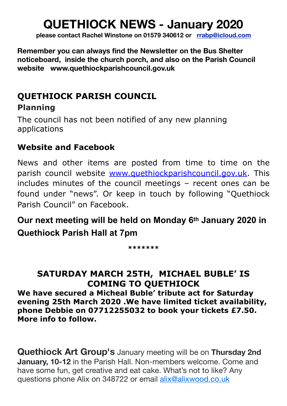# **QUETHIOCK NEWS - January 2020**

**please contact Rachel Winstone on 01579 340612 or [rrabp@icloud.com](mailto:rrabp@icloud.com)**

**Remember you can always find the Newsletter on the Bus Shelter noticeboard, inside the church porch, and also on the Parish Council website www.quethiockparishcouncil.gov.uk** 

### **QUETHIOCK PARISH COUNCIL Planning**

The council has not been notified of any new planning applications

### **Website and Facebook**

News and other items are posted from time to time on the parish council website [www.quethiockparishcouncil.gov.uk](http://www.quethiockparishcouncil.gov.uk). This includes minutes of the council meetings – recent ones can be found under "news". Or keep in touch by following "Quethiock Parish Council" on Facebook.

**Our next meeting will be held on Monday 6th January 2020 in Quethiock Parish Hall at 7pm** 

**\*\*\*\*\*\*\*** 

### **SATURDAY MARCH 25TH, MICHAEL BUBLE' IS COMING TO QUETHIOCK**

**We have secured a Micheal Buble' tribute act for Saturday evening 25th March 2020 .We have limited ticket availability, phone Debbie on 07712255032 to book your tickets £7.50. More info to follow.** 

**Quethiock Art Group's** January meeting will be on **Thursday 2nd January, 10-12** in the Parish Hall. Non-members welcome. Come and have some fun, get creative and eat cake. What's not to like? Any questions phone Alix on 348722 or email [alix@alixwood.co.uk](mailto:alix@alixwood.co.uk)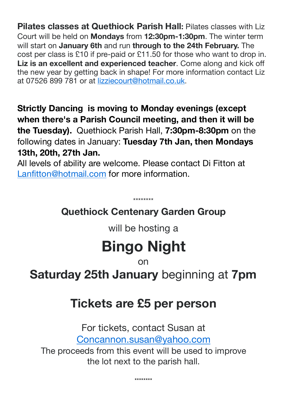**Pilates classes at Quethiock Parish Hall: Pilates classes with Liz** Court will be held on **Mondays** from **12:30pm-1:30pm**. The winter term will start on **January 6th** and run **through to the 24th February.** The cost per class is £10 if pre-paid or £11.50 for those who want to drop in. **Liz is an excellent and experienced teacher**. Come along and kick off the new year by getting back in shape! For more information contact Liz at 07526 899 781 or at [lizziecourt@hotmail.co.uk](mailto:lizziecourt@hotmail.co.uk).

**Strictly Dancing is moving to Monday evenings (except when there's a Parish Council meeting, and then it will be the Tuesday).** Quethiock Parish Hall, **7:30pm-8:30pm** on the following dates in January: **Tuesday 7th Jan, then Mondays 13th, 20th, 27th Jan.**

All levels of ability are welcome. Please contact Di Fitton at [Lanfitton@hotmail.com](mailto:Lanfitton@hotmail.com) for more information.

## **Quethiock Centenary Garden Group**

\*\*\*\*\*\*\*\*

will be hosting a

# **Bingo Night**

on

**Saturday 25th January** beginning at **7pm** 

# **Tickets are £5 per person**

For tickets, contact Susan at [Concannon.susan@yahoo.com](mailto:Concannon.susan@yahoo.com)

The proceeds from this event will be used to improve the lot next to the parish hall.

\*\*\*\*\*\*\*\*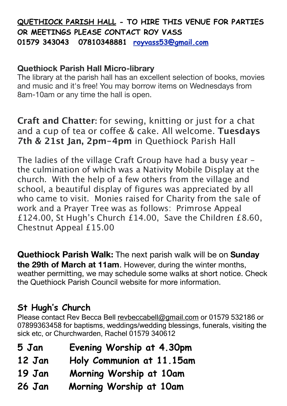### **QUETHIOCK PARISH HALL - TO HIRE THIS VENUE FOR PARTIES OR MEETINGS PLEASE CONTACT ROY VASS 01579 343043 07810348881 [royvass53@gmail.com](mailto:royvass53@gmail.com)**

#### **Quethiock Parish Hall Micro-library**

The library at the parish hall has an excellent selection of books, movies and music and it's free! You may borrow items on Wednesdays from 8am-10am or any time the hall is open.

**Craft and Chatter:** for sewing, knitting or just for a chat and a cup of tea or coffee & cake. All welcome. **Tuesdays 7th & 21st Jan, 2pm-4pm** in Quethiock Parish Hall

The ladies of the village Craft Group have had a busy year the culmination of which was a Nativity Mobile Display at the church. With the help of a few others from the village and school, a beautiful display of figures was appreciated by all who came to visit. Monies raised for Charity from the sale of work and a Prayer Tree was as follows: Primrose Appeal £124.00, St Hugh's Church £14.00, Save the Children £8.60, Chestnut Appeal £15.00

**Quethiock Parish Walk:** The next parish walk will be on **Sunday the 29th of March at 11am**. However, during the winter months, weather permitting, we may schedule some walks at short notice. Check the Quethiock Parish Council website for more information.

### **St Hugh's Church**

Please contact Rev Becca Bell [revbeccabell@gmail.com](mailto:revbeccabell@gmail.com) or 01579 532186 or 07899363458 for baptisms, weddings/wedding blessings, funerals, visiting the sick etc, or Churchwarden, Rachel 01579 340612

- **5 Jan Evening Worship at 4.30pm**
- **12 Jan Holy Communion at 11.15am**
- **19 Jan Morning Worship at 10am**
- **26 Jan Morning Worship at 10am**